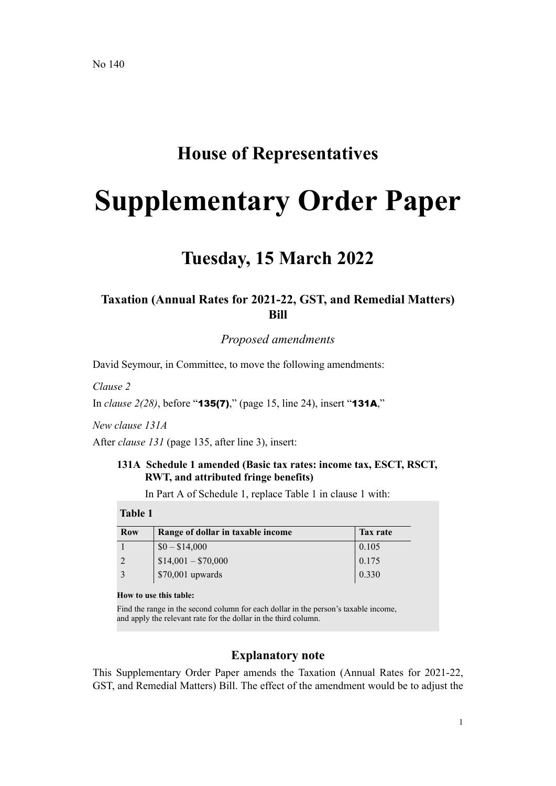## **House of Representatives**

# **Supplementary Order Paper**

## **Tuesday, 15 March 2022**

### **Taxation (Annual Rates for 2021-22, GST, and Remedial Matters) Bill**

*Proposed amendments*

David Seymour, in Committee, to move the following amendments:

*Clause 2*

In *clause 2(28)*, before "135(7)," (page 15, line 24), insert "131A,"

*New clause 131A*

After *clause 131* (page 135, after line 3), insert:

#### **131A Schedule 1 amended (Basic tax rates: income tax, ESCT, RSCT, RWT, and attributed fringe benefits)**

In Part A of Schedule 1, replace Table 1 in clause 1 with:

#### **Table 1**

| <b>Row</b> | Range of dollar in taxable income | Tax rate |
|------------|-----------------------------------|----------|
|            | $$0 - $14,000$                    | 0.105    |
|            | $$14,001 - $70,000$               | 0.175    |
|            | $$70,001$ upwards                 | 0.330    |

#### **How to use this table:**

Find the range in the second column for each dollar in the person's taxable income, and apply the relevant rate for the dollar in the third column.

#### **Explanatory note**

This Supplementary Order Paper amends the Taxation (Annual Rates for 2021-22, GST, and Remedial Matters) Bill. The effect of the amendment would be to adjust the